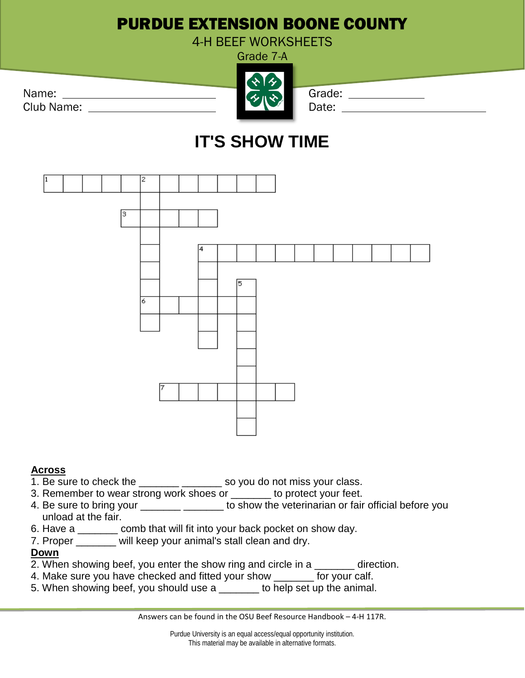## PURDUE EXTENSION BOONE COUNTY

4-H BEEF WORKSHEETS



# **IT'S SHOW TIME**



### **Across**

- 1. Be sure to check the \_\_\_\_\_\_\_ \_\_\_\_\_\_\_\_ so you do not miss your class.
- 3. Remember to wear strong work shoes or \_\_\_\_\_\_\_ to protect your feet.
- 4. Be sure to bring your \_\_\_\_\_\_\_\_\_\_\_\_\_\_\_\_\_ to show the veterinarian or fair official before you unload at the fair.
- 6. Have a \_\_\_\_\_\_\_ comb that will fit into your back pocket on show day.
- 7. Proper \_\_\_\_\_\_\_ will keep your animal's stall clean and dry.

### **Down**

- 2. When showing beef, you enter the show ring and circle in a \_\_\_\_\_\_\_\_ direction.
- 4. Make sure you have checked and fitted your show **For your calf.**
- 5. When showing beef, you should use a \_\_\_\_\_\_\_ to help set up the animal.

Answers can be found in the OSU Beef Resource Handbook – 4-H 117R.